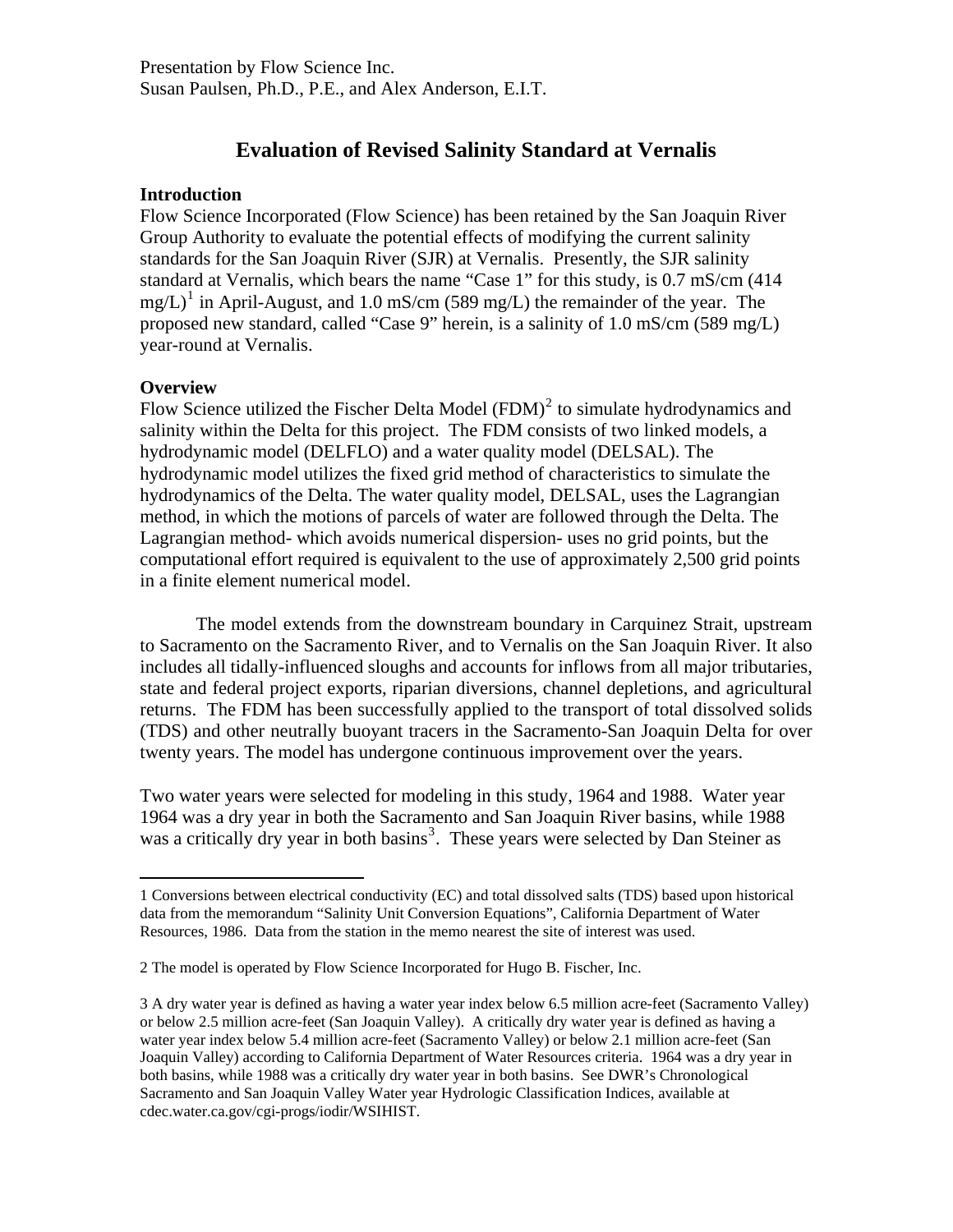# **Evaluation of Revised Salinity Standard at Vernalis**

#### **Introduction**

Flow Science Incorporated (Flow Science) has been retained by the San Joaquin River Group Authority to evaluate the potential effects of modifying the current salinity standards for the San Joaquin River (SJR) at Vernalis. Presently, the SJR salinity standard at Vernalis, which bears the name "Case 1" for this study, is 0.7 mS/cm (414  $mg/L$ <sup>[1](#page-0-0)</sup> in April-August, and 1.0 mS/cm (589 mg/L) the remainder of the year. The proposed new standard, called "Case 9" herein, is a salinity of 1.0 mS/cm (589 mg/L) year-round at Vernalis.

## **Overview**

 $\overline{a}$ 

Flow Science utilized the Fischer Delta Model  $(FDM)^2$  $(FDM)^2$  to simulate hydrodynamics and salinity within the Delta for this project. The FDM consists of two linked models, a hydrodynamic model (DELFLO) and a water quality model (DELSAL). The hydrodynamic model utilizes the fixed grid method of characteristics to simulate the hydrodynamics of the Delta. The water quality model, DELSAL, uses the Lagrangian method, in which the motions of parcels of water are followed through the Delta. The Lagrangian method- which avoids numerical dispersion- uses no grid points, but the computational effort required is equivalent to the use of approximately 2,500 grid points in a finite element numerical model.

The model extends from the downstream boundary in Carquinez Strait, upstream to Sacramento on the Sacramento River, and to Vernalis on the San Joaquin River. It also includes all tidally-influenced sloughs and accounts for inflows from all major tributaries, state and federal project exports, riparian diversions, channel depletions, and agricultural returns. The FDM has been successfully applied to the transport of total dissolved solids (TDS) and other neutrally buoyant tracers in the Sacramento-San Joaquin Delta for over twenty years. The model has undergone continuous improvement over the years.

Two water years were selected for modeling in this study, 1964 and 1988. Water year 1964 was a dry year in both the Sacramento and San Joaquin River basins, while 1988 was a critically dry year in both basins<sup>[3](#page-0-2)</sup>. These years were selected by Dan Steiner as

<span id="page-0-0"></span><sup>1</sup> Conversions between electrical conductivity (EC) and total dissolved salts (TDS) based upon historical data from the memorandum "Salinity Unit Conversion Equations", California Department of Water Resources, 1986. Data from the station in the memo nearest the site of interest was used.

<span id="page-0-1"></span><sup>2</sup> The model is operated by Flow Science Incorporated for Hugo B. Fischer, Inc.

<span id="page-0-2"></span><sup>3</sup> A dry water year is defined as having a water year index below 6.5 million acre-feet (Sacramento Valley) or below 2.5 million acre-feet (San Joaquin Valley). A critically dry water year is defined as having a water year index below 5.4 million acre-feet (Sacramento Valley) or below 2.1 million acre-feet (San Joaquin Valley) according to California Department of Water Resources criteria. 1964 was a dry year in both basins, while 1988 was a critically dry water year in both basins. See DWR's Chronological Sacramento and San Joaquin Valley Water year Hydrologic Classification Indices, available at cdec.water.ca.gov/cgi-progs/iodir/WSIHIST.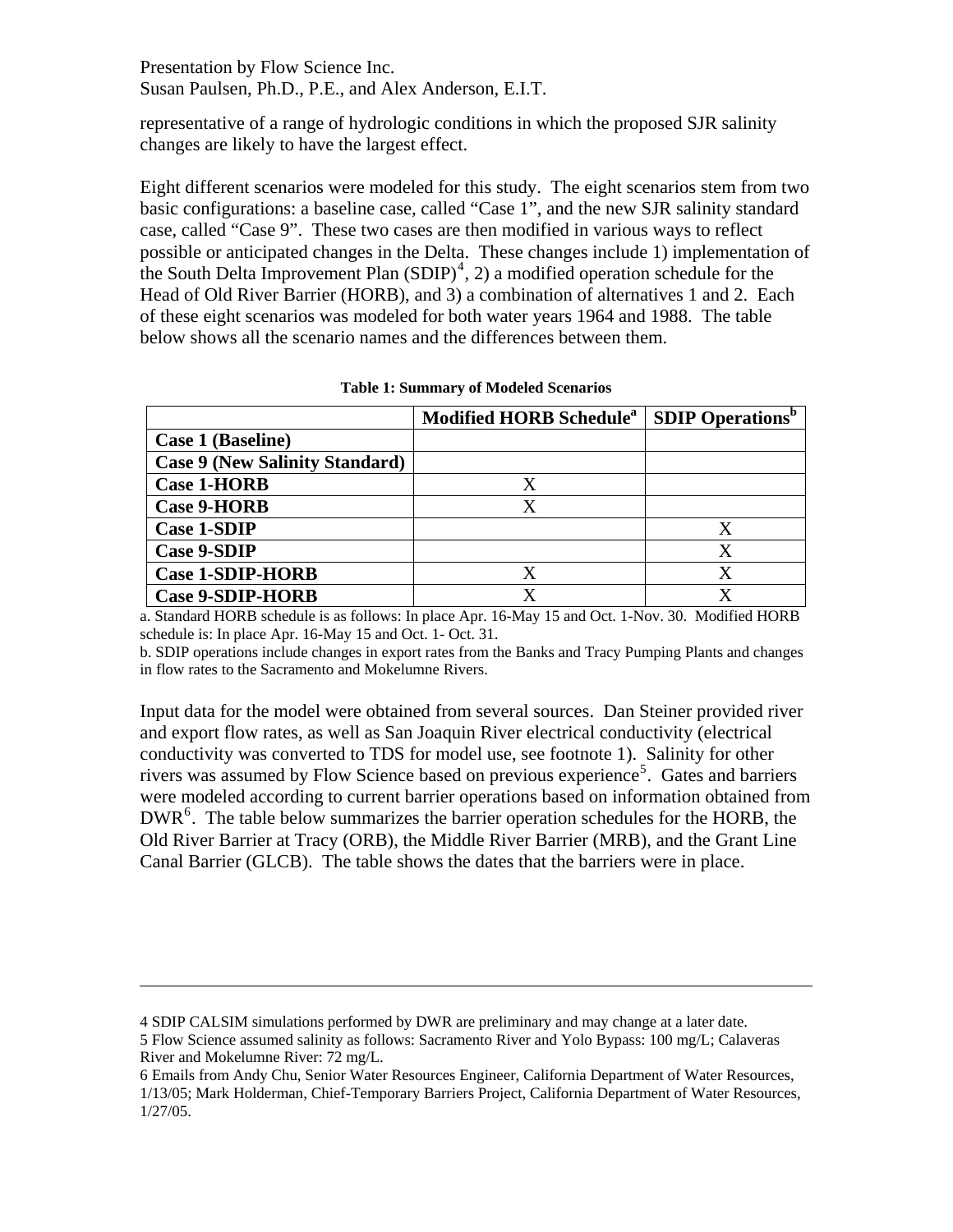representative of a range of hydrologic conditions in which the proposed SJR salinity changes are likely to have the largest effect.

Eight different scenarios were modeled for this study. The eight scenarios stem from two basic configurations: a baseline case, called "Case 1", and the new SJR salinity standard case, called "Case 9". These two cases are then modified in various ways to reflect possible or anticipated changes in the Delta. These changes include 1) implementation of the South Delta Improvement Plan  $(SDIP)^4$  $(SDIP)^4$ , 2) a modified operation schedule for the Head of Old River Barrier (HORB), and 3) a combination of alternatives 1 and 2. Each of these eight scenarios was modeled for both water years 1964 and 1988. The table below shows all the scenario names and the differences between them.

|                                       | Modified HORB Schedule <sup>a</sup>   SDIP Operations <sup>p</sup> |   |
|---------------------------------------|--------------------------------------------------------------------|---|
| Case 1 (Baseline)                     |                                                                    |   |
| <b>Case 9 (New Salinity Standard)</b> |                                                                    |   |
| <b>Case 1-HORB</b>                    |                                                                    |   |
| <b>Case 9-HORB</b>                    |                                                                    |   |
| <b>Case 1-SDIP</b>                    |                                                                    |   |
| <b>Case 9-SDIP</b>                    |                                                                    | X |
| <b>Case 1-SDIP-HORB</b>               |                                                                    | X |
| <b>Case 9-SDIP-HORB</b>               |                                                                    |   |

**Table 1: Summary of Modeled Scenarios** 

a. Standard HORB schedule is as follows: In place Apr. 16-May 15 and Oct. 1-Nov. 30. Modified HORB schedule is: In place Apr. 16-May 15 and Oct. 1- Oct. 31.

b. SDIP operations include changes in export rates from the Banks and Tracy Pumping Plants and changes in flow rates to the Sacramento and Mokelumne Rivers.

Input data for the model were obtained from several sources. Dan Steiner provided river and export flow rates, as well as San Joaquin River electrical conductivity (electrical conductivity was converted to TDS for model use, see footnote 1). Salinity for other rivers was assumed by Flow Science based on previous experience<sup>[5](#page-1-1)</sup>. Gates and barriers were modeled according to current barrier operations based on information obtained from  $DWR<sup>6</sup>$  $DWR<sup>6</sup>$  $DWR<sup>6</sup>$ . The table below summarizes the barrier operation schedules for the HORB, the Old River Barrier at Tracy (ORB), the Middle River Barrier (MRB), and the Grant Line Canal Barrier (GLCB). The table shows the dates that the barriers were in place.

 $\overline{a}$ 

<span id="page-1-0"></span><sup>4</sup> SDIP CALSIM simulations performed by DWR are preliminary and may change at a later date.

<span id="page-1-1"></span><sup>5</sup> Flow Science assumed salinity as follows: Sacramento River and Yolo Bypass: 100 mg/L; Calaveras River and Mokelumne River: 72 mg/L.

<span id="page-1-2"></span><sup>6</sup> Emails from Andy Chu, Senior Water Resources Engineer, California Department of Water Resources, 1/13/05; Mark Holderman, Chief-Temporary Barriers Project, California Department of Water Resources, 1/27/05.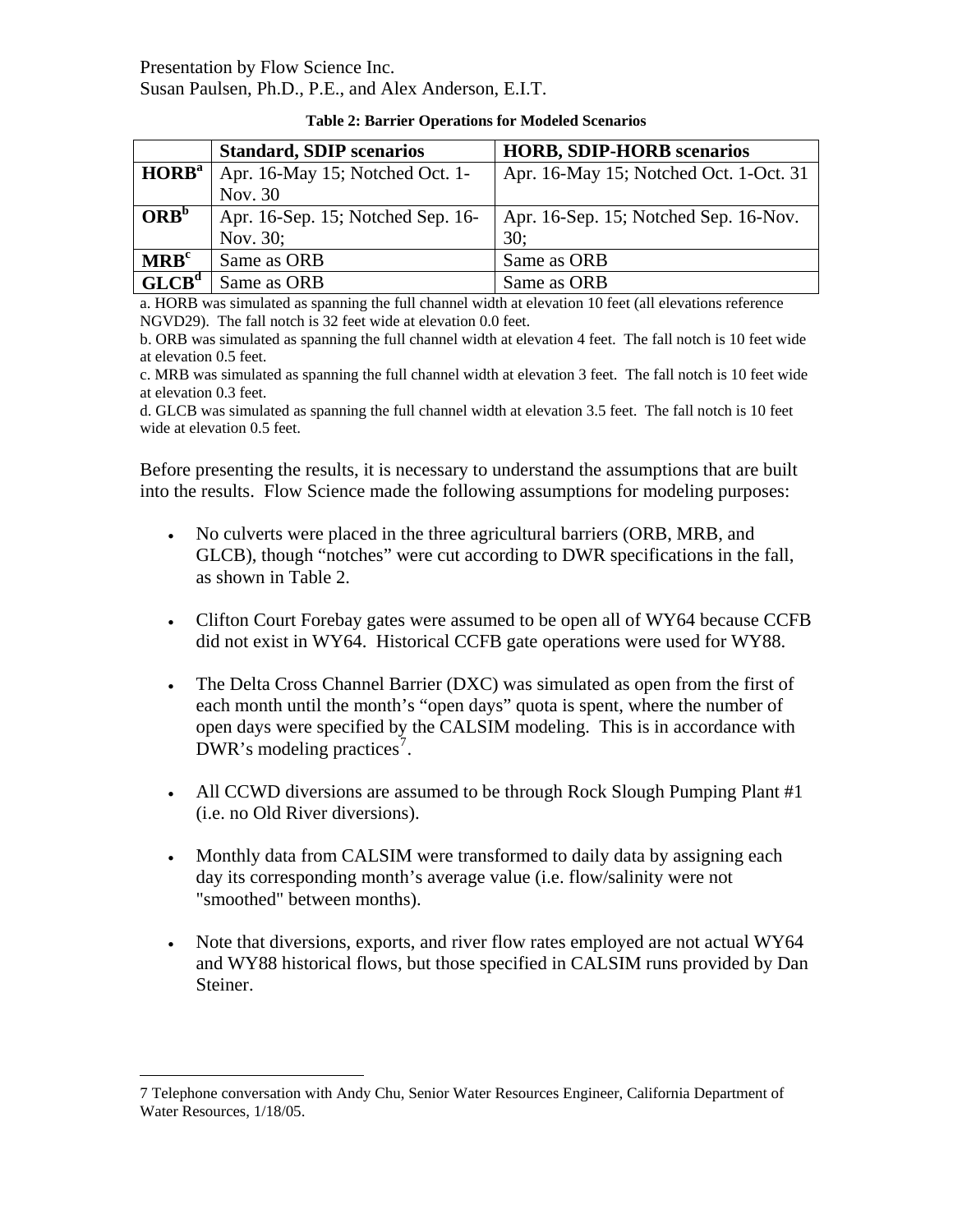|                   | <b>Standard, SDIP scenarios</b>   | <b>HORB, SDIP-HORB scenarios</b>       |  |
|-------------------|-----------------------------------|----------------------------------------|--|
| HORB <sup>a</sup> | Apr. 16-May 15; Notched Oct. 1-   | Apr. 16-May 15; Notched Oct. 1-Oct. 31 |  |
|                   | Nov. 30                           |                                        |  |
| ORB <sup>b</sup>  | Apr. 16-Sep. 15; Notched Sep. 16- | Apr. 16-Sep. 15; Notched Sep. 16-Nov.  |  |
|                   | Nov. 30;                          | 30:                                    |  |
| MRB <sup>c</sup>  | Same as ORB                       | Same as ORB                            |  |
| GLCB <sup>d</sup> | Same as ORB                       | Same as ORB                            |  |

| <b>Table 2: Barrier Operations for Modeled Scenarios</b> |  |  |  |
|----------------------------------------------------------|--|--|--|
|----------------------------------------------------------|--|--|--|

a. HORB was simulated as spanning the full channel width at elevation 10 feet (all elevations reference NGVD29). The fall notch is 32 feet wide at elevation 0.0 feet.

b. ORB was simulated as spanning the full channel width at elevation 4 feet. The fall notch is 10 feet wide at elevation 0.5 feet.

c. MRB was simulated as spanning the full channel width at elevation 3 feet. The fall notch is 10 feet wide at elevation 0.3 feet.

d. GLCB was simulated as spanning the full channel width at elevation 3.5 feet. The fall notch is 10 feet wide at elevation 0.5 feet.

Before presenting the results, it is necessary to understand the assumptions that are built into the results. Flow Science made the following assumptions for modeling purposes:

- No culverts were placed in the three agricultural barriers (ORB, MRB, and GLCB), though "notches" were cut according to DWR specifications in the fall, as shown in Table 2.
- Clifton Court Forebay gates were assumed to be open all of WY64 because CCFB did not exist in WY64. Historical CCFB gate operations were used for WY88.
- The Delta Cross Channel Barrier (DXC) was simulated as open from the first of each month until the month's "open days" quota is spent, where the number of open days were specified by the CALSIM modeling. This is in accordance with DWR's modeling practices<sup>[7](#page-2-0)</sup>.
- All CCWD diversions are assumed to be through Rock Slough Pumping Plant #1 (i.e. no Old River diversions).
- Monthly data from CALSIM were transformed to daily data by assigning each day its corresponding month's average value (i.e. flow/salinity were not "smoothed" between months).
- Note that diversions, exports, and river flow rates employed are not actual WY64 and WY88 historical flows, but those specified in CALSIM runs provided by Dan Steiner.

 $\overline{a}$ 

<span id="page-2-0"></span><sup>7</sup> Telephone conversation with Andy Chu, Senior Water Resources Engineer, California Department of Water Resources, 1/18/05.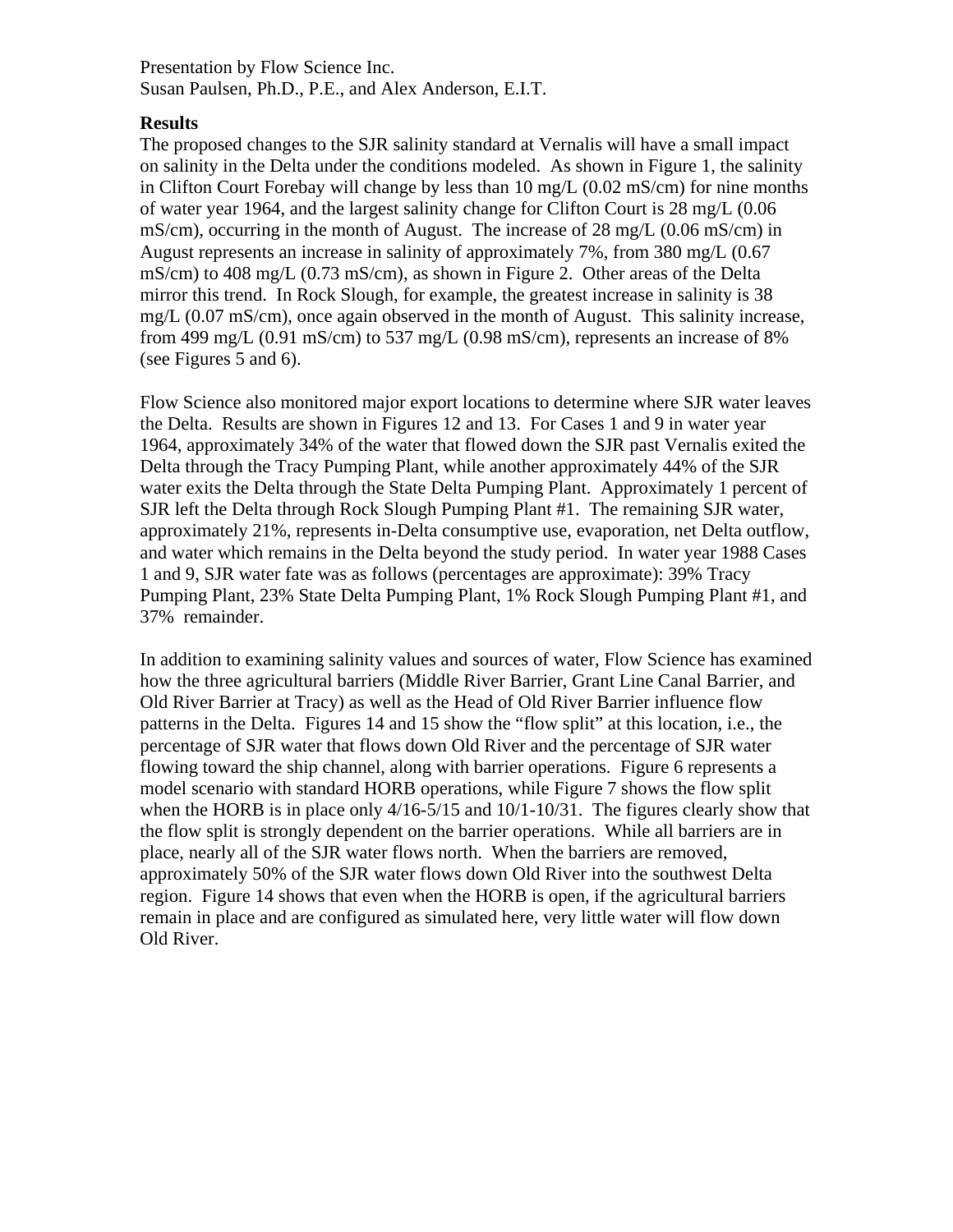#### **Results**

The proposed changes to the SJR salinity standard at Vernalis will have a small impact mg/L (0.07 mS/cm), once again observed in the month of August. This salinity increase, on salinity in the Delta under the conditions modeled. As shown in Figure 1, the salinity in Clifton Court Forebay will change by less than 10 mg/L (0.02 mS/cm) for nine months of water year 1964, and the largest salinity change for Clifton Court is 28 mg/L (0.06 mS/cm), occurring in the month of August. The increase of 28 mg/L (0.06 mS/cm) in August represents an increase in salinity of approximately 7%, from 380 mg/L (0.67 mS/cm) to 408 mg/L (0.73 mS/cm), as shown in Figure 2. Other areas of the Delta mirror this trend. In Rock Slough, for example, the greatest increase in salinity is 38 from 499 mg/L (0.91 mS/cm) to 537 mg/L (0.98 mS/cm), represents an increase of  $8\%$ (see Figures 5 and 6).

Flow Science also monitored major export locations to determine where SJR water leaves 1964, approximately 34% of the water that flowed down the SJR past Vernalis exited the water exits the Delta through the State Delta Pumping Plant. Approximately 1 percent of approximately 21%, represents in-Delta consumptive use, evaporation, net Delta outflow, Pumping Plant, 23% State Delta Pumping Plant, 1% Rock Slough Pumping Plant #1, and the Delta. Results are shown in Figures 12 and 13. For Cases 1 and 9 in water year Delta through the Tracy Pumping Plant, while another approximately 44% of the SJR SJR left the Delta through Rock Slough Pumping Plant #1. The remaining SJR water, and water which remains in the Delta beyond the study period. In water year 1988 Cases 1 and 9, SJR water fate was as follows (percentages are approximate): 39% Tracy 37% remainder.

In addition to examining salinity values and sources of water, Flow Science has examined patterns in the Delta. Figures 14 and 15 show the "flow split" at this location, i.e., the approximately 50% of the SJR water flows down Old River into the southwest Delta how the three agricultural barriers (Middle River Barrier, Grant Line Canal Barrier, and Old River Barrier at Tracy) as well as the Head of Old River Barrier influence flow percentage of SJR water that flows down Old River and the percentage of SJR water flowing toward the ship channel, along with barrier operations. Figure 6 represents a model scenario with standard HORB operations, while Figure 7 shows the flow split when the HORB is in place only 4/16-5/15 and 10/1-10/31. The figures clearly show that the flow split is strongly dependent on the barrier operations. While all barriers are in place, nearly all of the SJR water flows north. When the barriers are removed, region. Figure 14 shows that even when the HORB is open, if the agricultural barriers remain in place and are configured as simulated here, very little water will flow down Old River.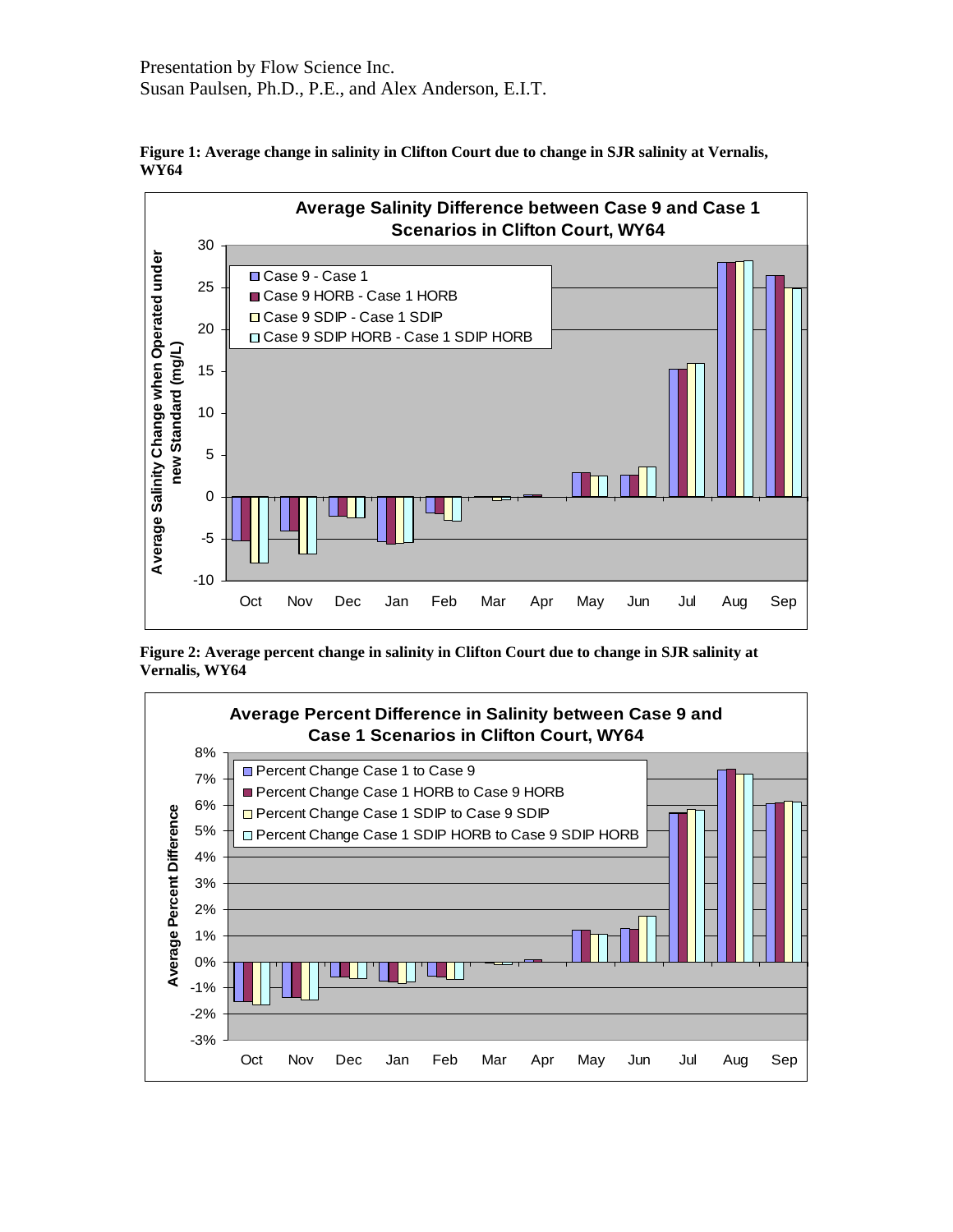

**Figure 1: Average change in salinity in Clifton Court due to change in SJR salinity at Vernalis, WY64** 

**Figure 2: Average percent change in salinity in Clifton Court due to change in SJR salinity at Vernalis, WY64** 

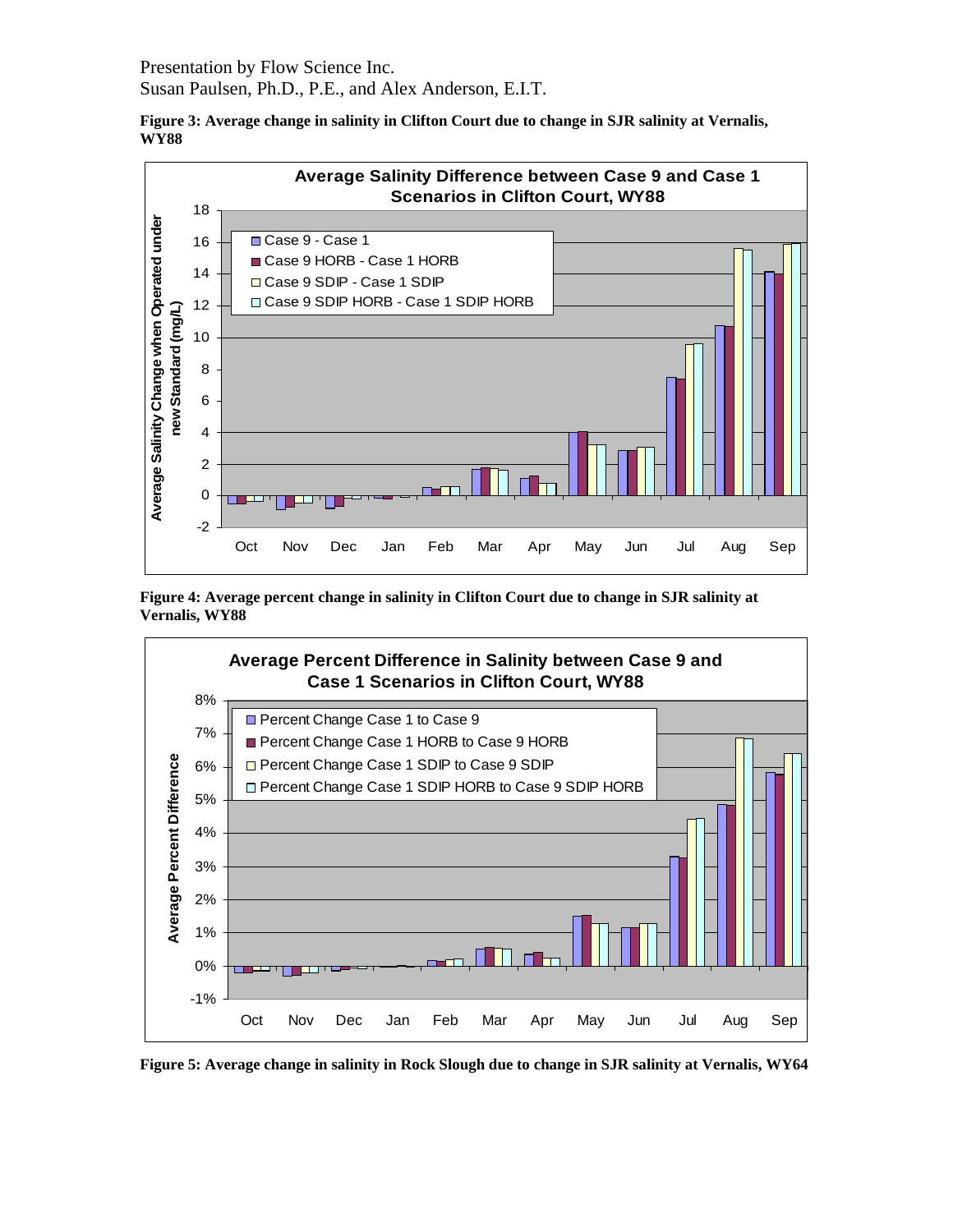Presentation by Flow Science Inc.

Susan Paulsen, Ph.D., P.E., and Alex Anderson, E.I.T.





**Figure 4: Average percent change in salinity in Clifton Court due to change in SJR salinity at Vernalis, WY88** 



**Figure 5: Average change in salinity in Rock Slough due to change in SJR salinity at Vernalis, WY64**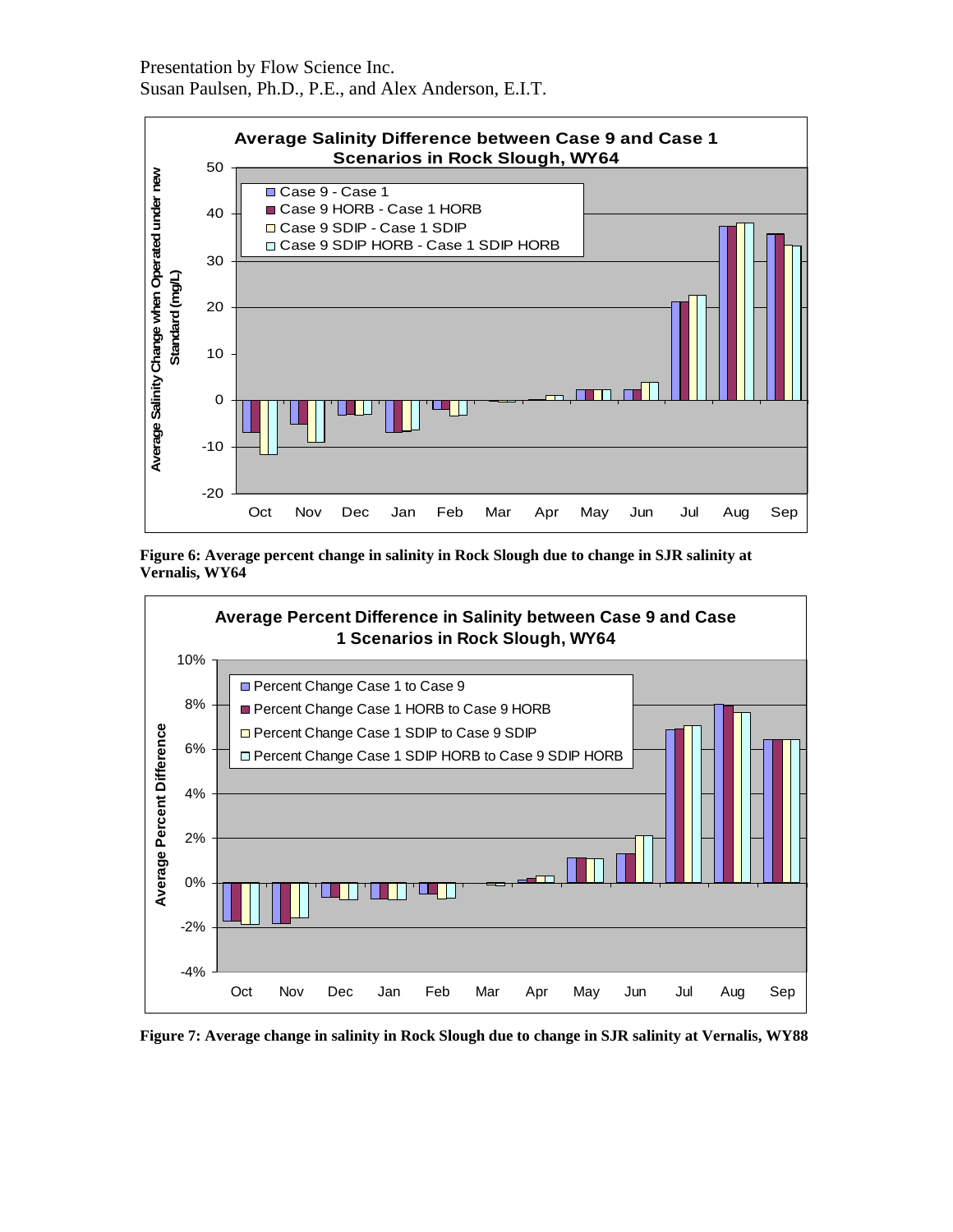





**Figure 7: Average change in salinity in Rock Slough due to change in SJR salinity at Vernalis, WY88**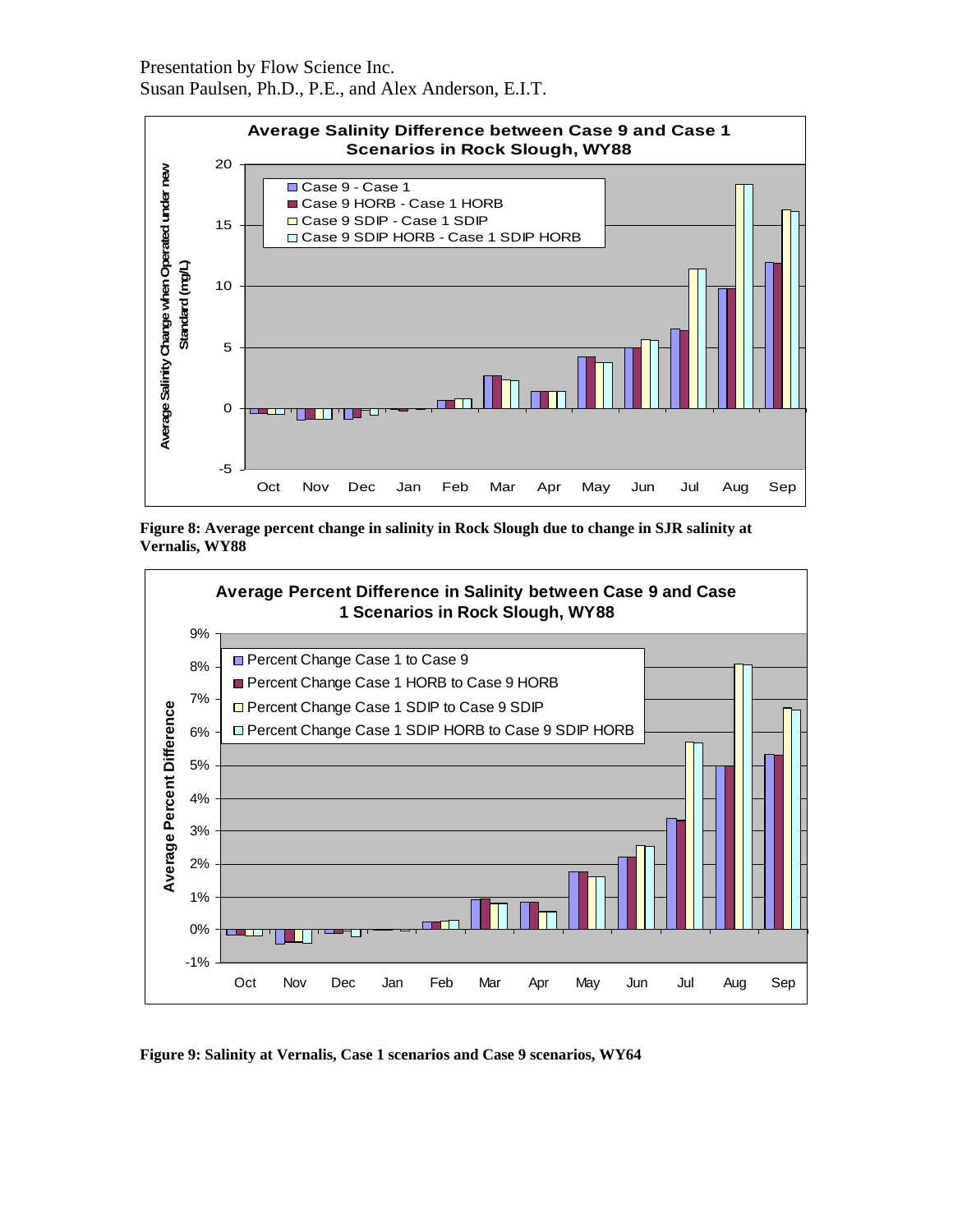





**Figure 9: Salinity at Vernalis, Case 1 scenarios and Case 9 scenarios, WY64**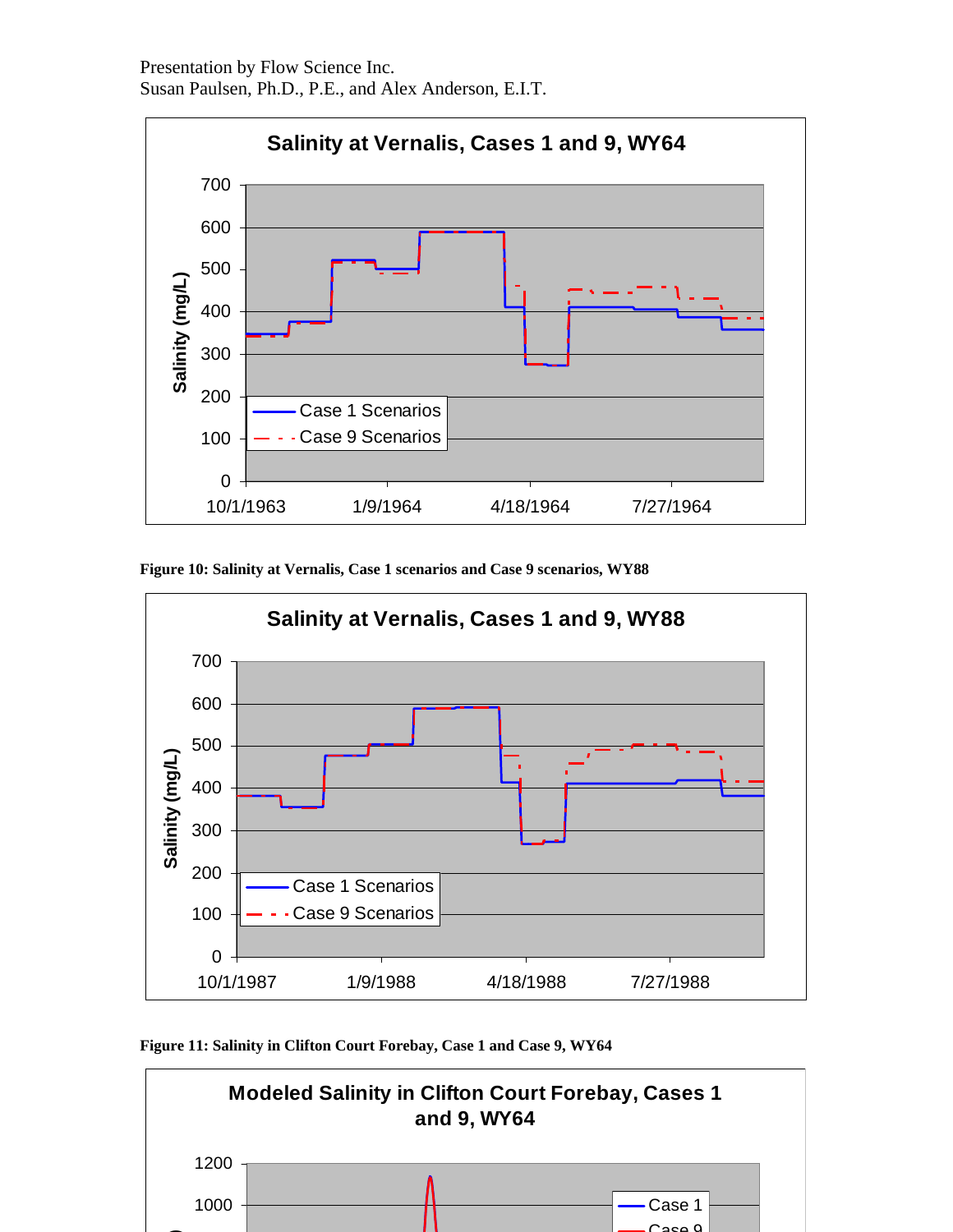

**Figure 10: Salinity at Vernalis, Case 1 scenarios and Case 9 scenarios, WY88** 



**Figure 11: Salinity in Clifton Court Forebay, Case 1 and Case 9, WY64** 

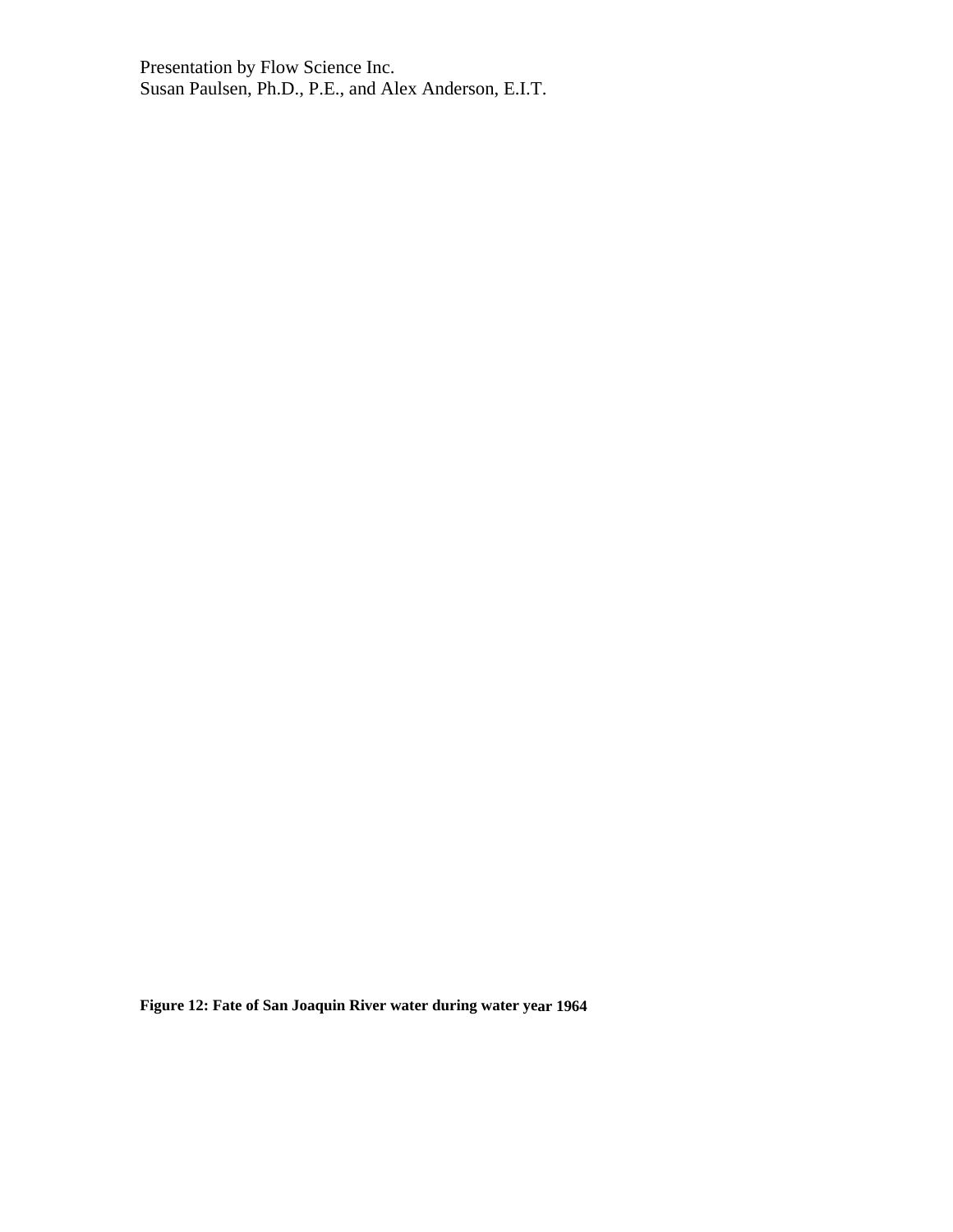**Figure 12: Fate of San Joaquin River water during water year 1964**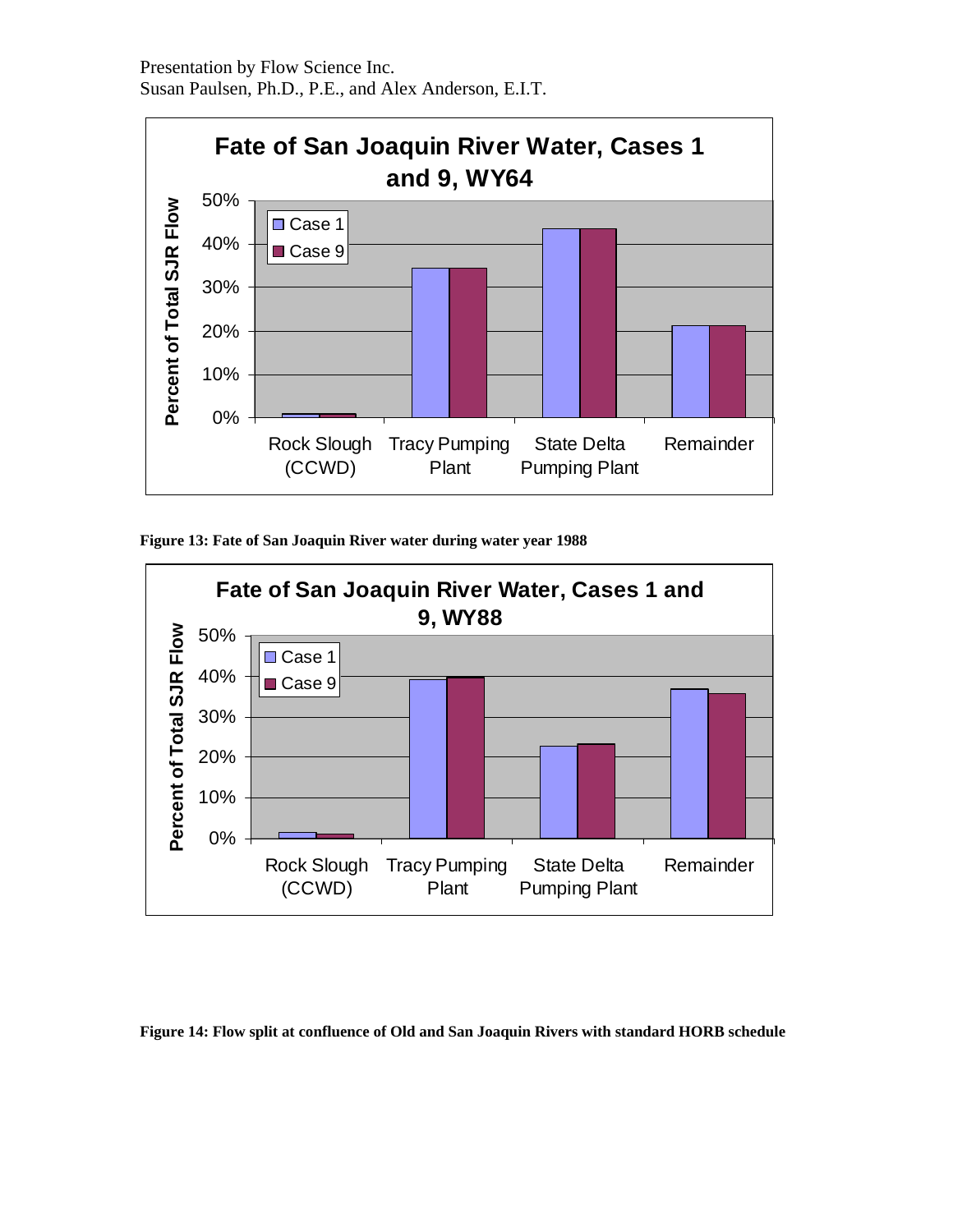

**Figure 13: Fate of San Joaquin River water during water year 1988** 



**Figure 14: Flow split at confluence of Old and San Joaquin Rivers with standard HORB schedule**